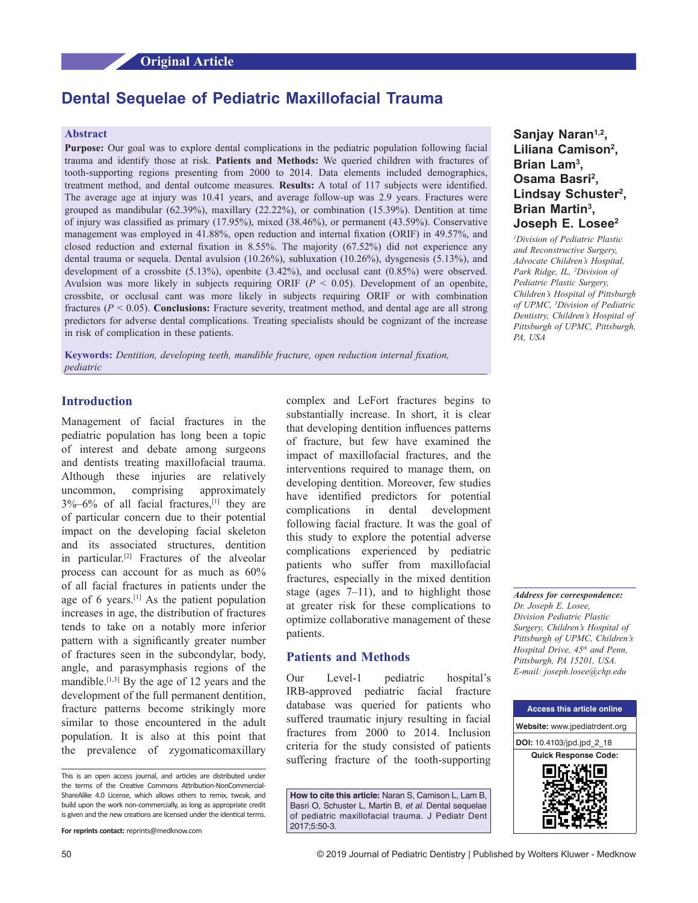## **Original Article**

# **Dental Sequelae of Pediatric Maxillofacial Trauma**

# **Abstract**

**Purpose:** Our goal was to explore dental complications in the pediatric population following facial trauma and identify those at risk. **Patients and Methods:** We queried children with fractures of tooth-supporting regions presenting from 2000 to 2014. Data elements included demographics, treatment method, and dental outcome measures. **Results:** A total of 117 subjects were identified. The average age at injury was 10.41 years, and average follow-up was 2.9 years. Fractures were grouped as mandibular (62.39%), maxillary (22.22%), or combination (15.39%). Dentition at time of injury was classified as primary (17.95%), mixed (38.46%), or permanent (43.59%). Conservative management was employed in 41.88%, open reduction and internal fixation (ORIF) in 49.57%, and closed reduction and external fixation in 8.55%. The majority (67.52%) did not experience any dental trauma or sequela. Dental avulsion (10.26%), subluxation (10.26%), dysgenesis (5.13%), and development of a crossbite (5.13%), openbite (3.42%), and occlusal cant (0.85%) were observed. Avulsion was more likely in subjects requiring ORIF (*P* < 0.05). Development of an openbite, crossbite, or occlusal cant was more likely in subjects requiring ORIF or with combination fractures ( $P < 0.05$ ). **Conclusions:** Fracture severity, treatment method, and dental age are all strong predictors for adverse dental complications. Treating specialists should be cognizant of the increase in risk of complication in these patients.

**Keywords:** *Dentition, developing teeth, mandible fracture, open reduction internal fixation, pediatric*

# **Introduction**

Management of facial fractures in the pediatric population has long been a topic of interest and debate among surgeons and dentists treating maxillofacial trauma. Although these injuries are relatively uncommon, comprising approximately  $3\%$ –6% of all facial fractures,<sup>[1]</sup> they are of particular concern due to their potential impact on the developing facial skeleton and its associated structures, dentition in particular.[2] Fractures of the alveolar process can account for as much as 60% of all facial fractures in patients under the age of 6 years.[1] As the patient population increases in age, the distribution of fractures tends to take on a notably more inferior pattern with a significantly greater number of fractures seen in the subcondylar, body, angle, and parasymphasis regions of the mandible.<sup>[1,3]</sup> By the age of 12 years and the development of the full permanent dentition, fracture patterns become strikingly more similar to those encountered in the adult population. It is also at this point that the prevalence of zygomaticomaxillary

complex and LeFort fractures begins to substantially increase. In short, it is clear that developing dentition influences patterns of fracture, but few have examined the impact of maxillofacial fractures, and the interventions required to manage them, on developing dentition. Moreover, few studies have identified predictors for potential complications in dental development following facial fracture. It was the goal of this study to explore the potential adverse complications experienced by pediatric patients who suffer from maxillofacial fractures, especially in the mixed dentition stage (ages  $7-11$ ), and to highlight those at greater risk for these complications to optimize collaborative management of these patients.

## **Patients and Methods**

Our Level-1 pediatric hospital's IRB‑approved pediatric facial fracture database was queried for patients who suffered traumatic injury resulting in facial fractures from 2000 to 2014. Inclusion criteria for the study consisted of patients suffering fracture of the tooth-supporting

**How to cite this article:** Naran S, Camison L, Lam B, Basri O, Schuster L, Martin B, *et al*. Dental sequelae of pediatric maxillofacial trauma. J Pediatr Dent 2017;5:50-3.

# Sanjay Naran<sup>1,2</sup>, **Liliana Camison2 , Brian Lam3 ,**  Osama Basri<sup>2</sup>, **Lindsay Schuster2 , Brian Martin3 , Joseph E. Losee2**

*1 Division of Pediatric Plastic and Reconstructive Surgery, Advocate Children's Hospital, Park Ridge, IL, 2 Division of Pediatric Plastic Surgery, Children's Hospital of Pittsburgh of UPMC, 3 Division of Pediatric Dentistry, Children's Hospital of Pittsburgh of UPMC, Pittsburgh, PA, USA*

*Address for correspondence: Dr. Joseph E. Losee, Division Pediatric Plastic Surgery, Children's Hospital of Pittsburgh of UPMC, Children's Hospital Drive, 45th and Penn, Pittsburgh, PA 15201, USA. E‑mail: joseph.losee@chp.edu*



This is an open access journal, and articles are distributed under the terms of the Creative Commons Attribution-NonCommercial-ShareAlike 4.0 License, which allows others to remix, tweak, and build upon the work non-commercially, as long as appropriate credit is given and the new creations are licensed under the identical terms.

**For reprints contact:** reprints@medknow.com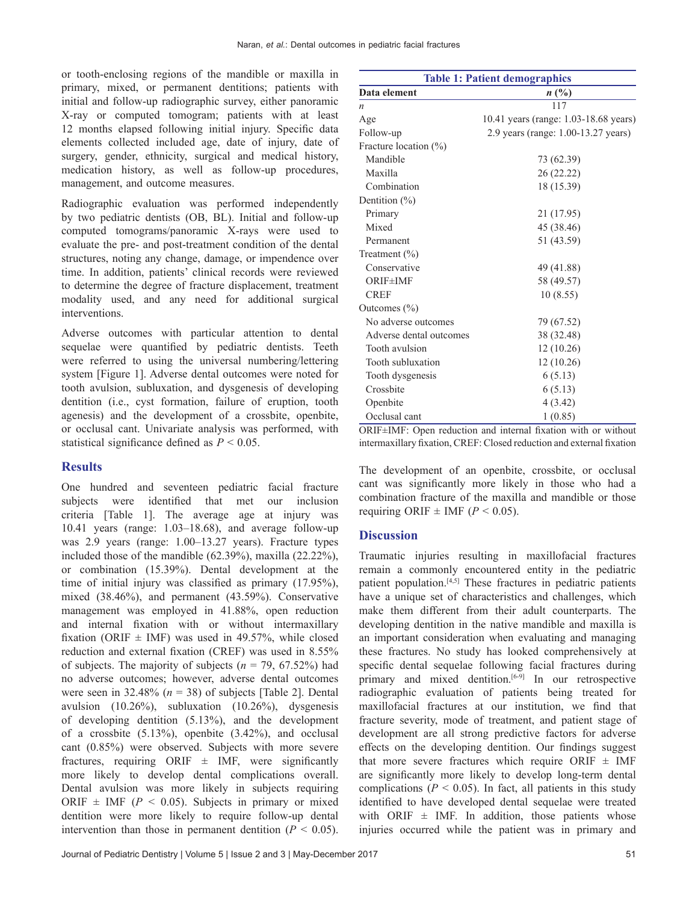or tooth‑enclosing regions of the mandible or maxilla in primary, mixed, or permanent dentitions; patients with initial and follow-up radiographic survey, either panoramic X‑ray or computed tomogram; patients with at least 12 months elapsed following initial injury. Specific data elements collected included age, date of injury, date of surgery, gender, ethnicity, surgical and medical history, medication history, as well as follow-up procedures, management, and outcome measures.

Radiographic evaluation was performed independently by two pediatric dentists (OB, BL). Initial and follow‑up computed tomograms/panoramic X-rays were used to evaluate the pre- and post-treatment condition of the dental structures, noting any change, damage, or impendence over time. In addition, patients' clinical records were reviewed to determine the degree of fracture displacement, treatment modality used, and any need for additional surgical interventions.

Adverse outcomes with particular attention to dental sequelae were quantified by pediatric dentists. Teeth were referred to using the universal numbering/lettering system [Figure 1]. Adverse dental outcomes were noted for tooth avulsion, subluxation, and dysgenesis of developing dentition (i.e., cyst formation, failure of eruption, tooth agenesis) and the development of a crossbite, openbite, or occlusal cant. Univariate analysis was performed, with statistical significance defined as *P* < 0.05.

## **Results**

One hundred and seventeen pediatric facial fracture subjects were identified that met our inclusion criteria [Table 1]. The average age at injury was 10.41 years (range:  $1.03-18.68$ ), and average follow-up was 2.9 years (range: 1.00–13.27 years). Fracture types included those of the mandible (62.39%), maxilla (22.22%), or combination (15.39%). Dental development at the time of initial injury was classified as primary (17.95%), mixed (38.46%), and permanent (43.59%). Conservative management was employed in 41.88%, open reduction and internal fixation with or without intermaxillary fixation (ORIF  $\pm$  IMF) was used in 49.57%, while closed reduction and external fixation (CREF) was used in 8.55% of subjects. The majority of subjects  $(n = 79, 67.52%)$  had no adverse outcomes; however, adverse dental outcomes were seen in 32.48% ( $n = 38$ ) of subjects [Table 2]. Dental avulsion (10.26%), subluxation (10.26%), dysgenesis of developing dentition (5.13%), and the development of a crossbite  $(5.13\%)$ , openbite  $(3.42\%)$ , and occlusal cant (0.85%) were observed. Subjects with more severe fractures, requiring ORIF  $\pm$  IMF, were significantly more likely to develop dental complications overall. Dental avulsion was more likely in subjects requiring ORIF  $\pm$  IMF ( $P < 0.05$ ). Subjects in primary or mixed dentition were more likely to require follow-up dental intervention than those in permanent dentition  $(P < 0.05)$ .

| <b>Table 1: Patient demographics</b> |                                       |  |  |  |  |  |
|--------------------------------------|---------------------------------------|--|--|--|--|--|
| Data element                         | $n\,(\%)$                             |  |  |  |  |  |
| $\boldsymbol{n}$                     | 117                                   |  |  |  |  |  |
| Age                                  | 10.41 years (range: 1.03-18.68 years) |  |  |  |  |  |
| Follow-up                            | 2.9 years (range: 1.00-13.27 years)   |  |  |  |  |  |
| Fracture location $(\%)$             |                                       |  |  |  |  |  |
| Mandible                             | 73 (62.39)                            |  |  |  |  |  |
| Maxilla                              | 26 (22.22)                            |  |  |  |  |  |
| Combination                          | 18 (15.39)                            |  |  |  |  |  |
| Dentition $(\%)$                     |                                       |  |  |  |  |  |
| Primary                              | 21 (17.95)                            |  |  |  |  |  |
| Mixed                                | 45 (38.46)                            |  |  |  |  |  |
| Permanent                            | 51 (43.59)                            |  |  |  |  |  |
| Treatment $(\% )$                    |                                       |  |  |  |  |  |
| Conservative                         | 49 (41.88)                            |  |  |  |  |  |
| <b>ORIF±IMF</b>                      | 58 (49.57)                            |  |  |  |  |  |
| <b>CREF</b>                          | 10(8.55)                              |  |  |  |  |  |
| Outcomes $(\% )$                     |                                       |  |  |  |  |  |
| No adverse outcomes                  | 79 (67.52)                            |  |  |  |  |  |
| Adverse dental outcomes              | 38 (32.48)                            |  |  |  |  |  |
| Tooth avulsion                       | 12 (10.26)                            |  |  |  |  |  |
| Tooth subluxation                    | 12 (10.26)                            |  |  |  |  |  |
| Tooth dysgenesis                     | 6(5.13)                               |  |  |  |  |  |
| Crossbite                            | 6(5.13)                               |  |  |  |  |  |
| Openbite                             | 4(3.42)                               |  |  |  |  |  |
| Occlusal cant                        | 1(0.85)                               |  |  |  |  |  |

ORIF±IMF: Open reduction and internal fixation with or without intermaxillary fixation, CREF: Closed reduction and external fixation

The development of an openbite, crossbite, or occlusal cant was significantly more likely in those who had a combination fracture of the maxilla and mandible or those requiring ORIF  $\pm$  IMF ( $P < 0.05$ ).

## **Discussion**

Traumatic injuries resulting in maxillofacial fractures remain a commonly encountered entity in the pediatric patient population.[4,5] These fractures in pediatric patients have a unique set of characteristics and challenges, which make them different from their adult counterparts. The developing dentition in the native mandible and maxilla is an important consideration when evaluating and managing these fractures. No study has looked comprehensively at specific dental sequelae following facial fractures during primary and mixed dentition. $[6-9]$  In our retrospective radiographic evaluation of patients being treated for maxillofacial fractures at our institution, we find that fracture severity, mode of treatment, and patient stage of development are all strong predictive factors for adverse effects on the developing dentition. Our findings suggest that more severe fractures which require ORIF  $\pm$  IMF are significantly more likely to develop long‑term dental complications ( $P < 0.05$ ). In fact, all patients in this study identified to have developed dental sequelae were treated with ORIF  $\pm$  IMF. In addition, those patients whose injuries occurred while the patient was in primary and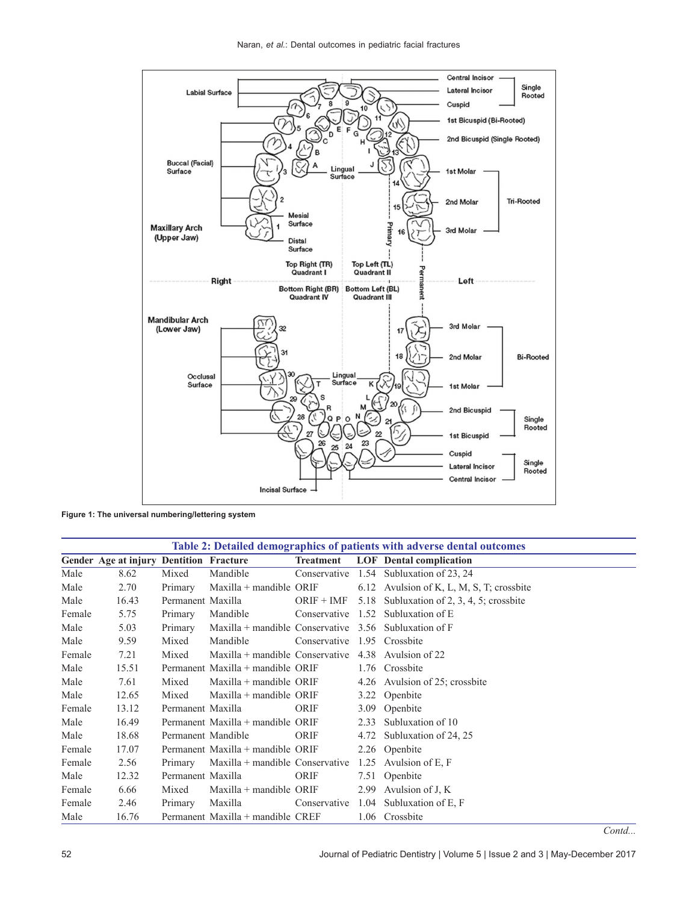

**Figure 1: The universal numbering/lettering system**

| Table 2: Detailed demographics of patients with adverse dental outcomes |                                         |                    |                                                         |                             |      |                                                        |  |  |  |
|-------------------------------------------------------------------------|-----------------------------------------|--------------------|---------------------------------------------------------|-----------------------------|------|--------------------------------------------------------|--|--|--|
|                                                                         | Gender Age at injury Dentition Fracture |                    |                                                         |                             |      | Treatment LOF Dental complication                      |  |  |  |
| Male                                                                    | 8.62                                    | Mixed              | Mandible                                                |                             |      | Conservative 1.54 Subluxation of 23, 24                |  |  |  |
| Male                                                                    | 2.70                                    | Primary            | $Maxilla + mandible ORIF$                               |                             |      | 6.12 Avulsion of K, L, M, S, T; crossbite              |  |  |  |
| Male                                                                    | 16.43                                   | Permanent Maxilla  |                                                         |                             |      | ORIF + IMF $5.18$ Subluxation of 2, 3, 4, 5; crossbite |  |  |  |
| Female                                                                  | 5.75                                    | Primary            | Mandible                                                |                             |      | Conservative $1.52$ Subluxation of E                   |  |  |  |
| Male                                                                    | 5.03                                    | Primary            | Maxilla + mandible Conservative $3.56$ Subluxation of F |                             |      |                                                        |  |  |  |
| Male                                                                    | 9.59                                    | Mixed              | Mandible                                                | Conservative 1.95 Crossbite |      |                                                        |  |  |  |
| Female                                                                  | 7.21                                    | Mixed              | Maxilla + mandible Conservative $4.38$ Avulsion of 22   |                             |      |                                                        |  |  |  |
| Male                                                                    | 15.51                                   |                    | Permanent Maxilla + mandible ORIF                       |                             |      | 1.76 Crossbite                                         |  |  |  |
| Male                                                                    | 7.61                                    | Mixed              | Maxilla + mandible ORIF                                 |                             |      | 4.26 Avulsion of 25; crossbite                         |  |  |  |
| Male                                                                    | 12.65                                   | Mixed              | $Maxilla + mandible$ ORIF                               |                             |      | 3.22 Openbite                                          |  |  |  |
| Female                                                                  | 13.12                                   | Permanent Maxilla  |                                                         | ORIF                        |      | 3.09 Openbite                                          |  |  |  |
| Male                                                                    | 16.49                                   |                    | Permanent Maxilla + mandible ORIF                       |                             |      | 2.33 Subluxation of 10                                 |  |  |  |
| Male                                                                    | 18.68                                   | Permanent Mandible |                                                         | ORIF                        |      | 4.72 Subluxation of 24, 25                             |  |  |  |
| Female                                                                  | 17.07                                   |                    | Permanent Maxilla + mandible ORIF                       |                             |      | 2.26 Openbite                                          |  |  |  |
| Female                                                                  | 2.56                                    | Primary            | Maxilla + mandible Conservative $1.25$ Avulsion of E, F |                             |      |                                                        |  |  |  |
| Male                                                                    | 12.32                                   | Permanent Maxilla  |                                                         | ORIF                        |      | 7.51 Openbite                                          |  |  |  |
| Female                                                                  | 6.66                                    | Mixed              | $Maxilla + mandible ORIF$                               |                             |      | 2.99 Avulsion of J, K                                  |  |  |  |
| Female                                                                  | 2.46                                    | Primary            | Maxilla                                                 | Conservative                |      | 1.04 Subluxation of E, F                               |  |  |  |
| Male                                                                    | 16.76                                   |                    | Permanent Maxilla + mandible CREF                       |                             | 1.06 | Crossbite                                              |  |  |  |